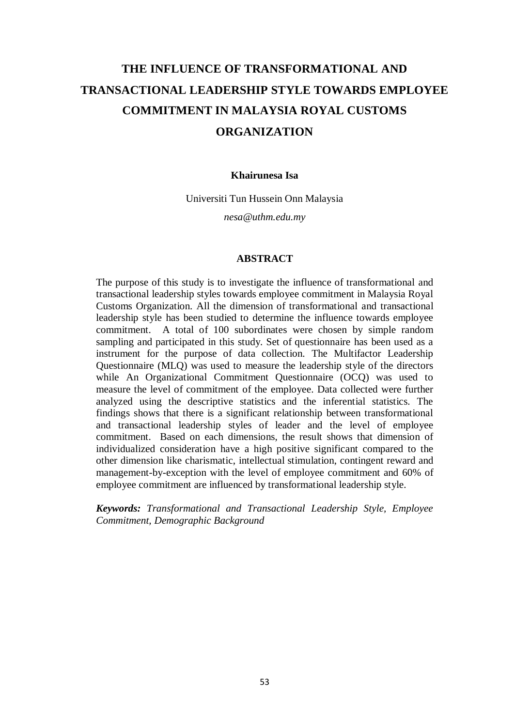# **THE INFLUENCE OF TRANSFORMATIONAL AND TRANSACTIONAL LEADERSHIP STYLE TOWARDS EMPLOYEE COMMITMENT IN MALAYSIA ROYAL CUSTOMS ORGANIZATION**

#### **Khairunesa Isa**

Universiti Tun Hussein Onn Malaysia

*[nesa@uthm.edu.my](mailto:nesa@uthm.edu.my)*

#### **ABSTRACT**

The purpose of this study is to investigate the influence of transformational and transactional leadership styles towards employee commitment in Malaysia Royal Customs Organization. All the dimension of transformational and transactional leadership style has been studied to determine the influence towards employee commitment. A total of 100 subordinates were chosen by simple random sampling and participated in this study. Set of questionnaire has been used as a instrument for the purpose of data collection. The Multifactor Leadership Questionnaire (MLQ) was used to measure the leadership style of the directors while An Organizational Commitment Questionnaire (OCQ) was used to measure the level of commitment of the employee. Data collected were further analyzed using the descriptive statistics and the inferential statistics. The findings shows that there is a significant relationship between transformational and transactional leadership styles of leader and the level of employee commitment. Based on each dimensions, the result shows that dimension of individualized consideration have a high positive significant compared to the other dimension like charismatic, intellectual stimulation, contingent reward and management-by-exception with the level of employee commitment and 60% of employee commitment are influenced by transformational leadership style.

*Keywords: Transformational and Transactional Leadership Style, Employee Commitment, Demographic Background*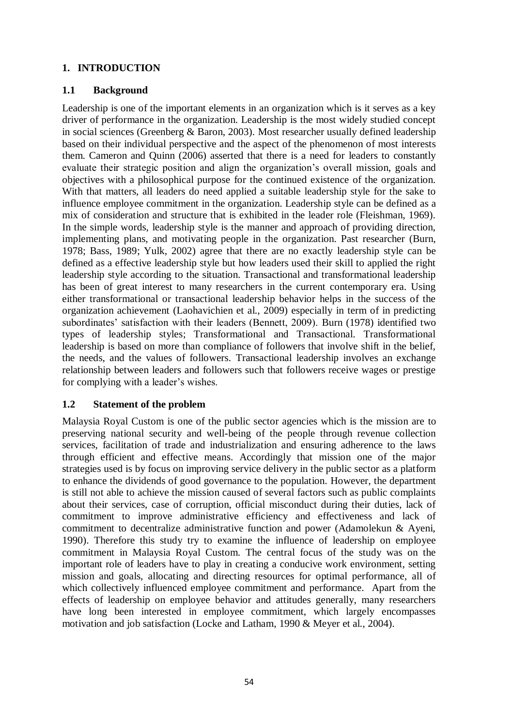# **1. INTRODUCTION**

# **1.1 Background**

Leadership is one of the important elements in an organization which is it serves as a key driver of performance in the organization. Leadership is the most widely studied concept in social sciences (Greenberg & Baron, 2003). Most researcher usually defined leadership based on their individual perspective and the aspect of the phenomenon of most interests them. Cameron and Quinn (2006) asserted that there is a need for leaders to constantly evaluate their strategic position and align the organization's overall mission, goals and objectives with a philosophical purpose for the continued existence of the organization. With that matters, all leaders do need applied a suitable leadership style for the sake to influence employee commitment in the organization. Leadership style can be defined as a mix of consideration and structure that is exhibited in the leader role (Fleishman, 1969). In the simple words, leadership style is the manner and approach of providing direction, implementing plans, and motivating people in the organization. Past researcher (Burn, 1978; Bass, 1989; Yulk, 2002) agree that there are no exactly leadership style can be defined as a effective leadership style but how leaders used their skill to applied the right leadership style according to the situation. Transactional and transformational leadership has been of great interest to many researchers in the current contemporary era. Using either transformational or transactional leadership behavior helps in the success of the organization achievement (Laohavichien et al., 2009) especially in term of in predicting subordinates' satisfaction with their leaders (Bennett, 2009). Burn (1978) identified two types of leadership styles; Transformational and Transactional. Transformational leadership is based on more than compliance of followers that involve shift in the belief, the needs, and the values of followers. Transactional leadership involves an exchange relationship between leaders and followers such that followers receive wages or prestige for complying with a leader's wishes.

## **1.2 Statement of the problem**

Malaysia Royal Custom is one of the public sector agencies which is the mission are to preserving national security and well-being of the people through revenue collection services, facilitation of trade and industrialization and ensuring adherence to the laws through efficient and effective means. Accordingly that mission one of the major strategies used is by focus on improving service delivery in the public sector as a platform to enhance the dividends of good governance to the population. However, the department is still not able to achieve the mission caused of several factors such as public complaints about their services, case of corruption, official misconduct during their duties, lack of commitment to improve administrative efficiency and effectiveness and lack of commitment to decentralize administrative function and power (Adamolekun & Ayeni, 1990). Therefore this study try to examine the influence of leadership on employee commitment in Malaysia Royal Custom. The central focus of the study was on the important role of leaders have to play in creating a conducive work environment, setting mission and goals, allocating and directing resources for optimal performance, all of which collectively influenced employee commitment and performance. Apart from the effects of leadership on employee behavior and attitudes generally, many researchers have long been interested in employee commitment, which largely encompasses motivation and job satisfaction (Locke and Latham, 1990 & Meyer et al., 2004).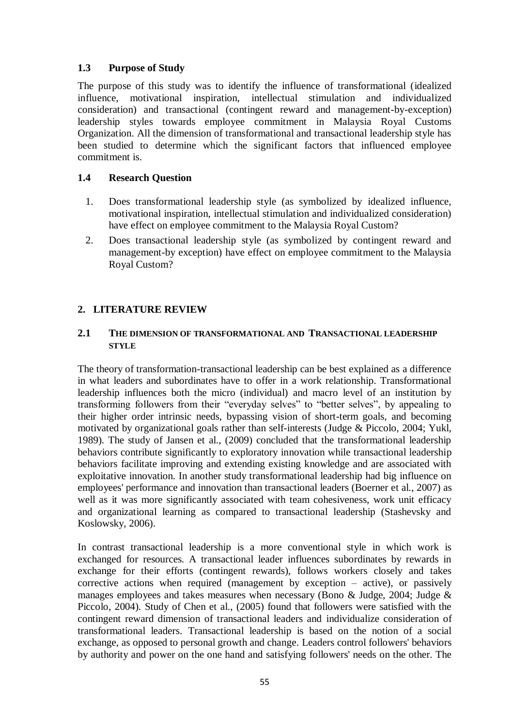# **1.3 Purpose of Study**

The purpose of this study was to identify the influence of transformational (idealized influence, motivational inspiration, intellectual stimulation and individualized consideration) and transactional (contingent reward and management-by-exception) leadership styles towards employee commitment in Malaysia Royal Customs Organization. All the dimension of transformational and transactional leadership style has been studied to determine which the significant factors that influenced employee commitment is.

## **1.4 Research Question**

- 1. Does transformational leadership style (as symbolized by idealized influence, motivational inspiration, intellectual stimulation and individualized consideration) have effect on employee commitment to the Malaysia Royal Custom?
- 2. Does transactional leadership style (as symbolized by contingent reward and management-by exception) have effect on employee commitment to the Malaysia Royal Custom?

# **2. LITERATURE REVIEW**

#### **2.1 THE DIMENSION OF TRANSFORMATIONAL AND TRANSACTIONAL LEADERSHIP STYLE**

The theory of transformation-transactional leadership can be best explained as a difference in what leaders and subordinates have to offer in a work relationship. Transformational leadership influences both the micro (individual) and macro level of an institution by transforming followers from their "everyday selves" to "better selves", by appealing to their higher order intrinsic needs, bypassing vision of short-term goals, and becoming motivated by organizational goals rather than self-interests (Judge & Piccolo, 2004; Yukl, 1989). The study of Jansen et al., (2009) concluded that the transformational leadership behaviors contribute significantly to exploratory innovation while transactional leadership behaviors facilitate improving and extending existing knowledge and are associated with exploitative innovation. In another study transformational leadership had big influence on employees' performance and innovation than transactional leaders (Boerner et al., 2007) as well as it was more significantly associated with team cohesiveness, work unit efficacy and organizational learning as compared to transactional leadership (Stashevsky and Koslowsky, 2006).

In contrast transactional leadership is a more conventional style in which work is exchanged for resources. A transactional leader influences subordinates by rewards in exchange for their efforts (contingent rewards), follows workers closely and takes corrective actions when required (management by exception – active), or passively manages employees and takes measures when necessary (Bono & Judge, 2004; Judge & Piccolo, 2004). Study of Chen et al., (2005) found that followers were satisfied with the contingent reward dimension of transactional leaders and individualize consideration of transformational leaders. Transactional leadership is based on the notion of a social exchange, as opposed to personal growth and change. Leaders control followers' behaviors by authority and power on the one hand and satisfying followers' needs on the other. The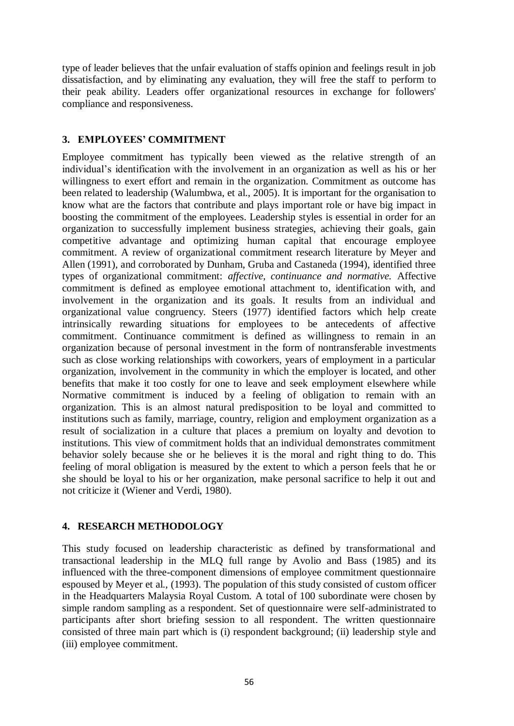type of leader believes that the unfair evaluation of staffs opinion and feelings result in job dissatisfaction, and by eliminating any evaluation, they will free the staff to perform to their peak ability. Leaders offer organizational resources in exchange for followers' compliance and responsiveness.

#### **3. EMPLOYEES' COMMITMENT**

Employee commitment has typically been viewed as the relative strength of an individual's identification with the involvement in an organization as well as his or her willingness to exert effort and remain in the organization. Commitment as outcome has been related to leadership (Walumbwa, et al., 2005). It is important for the organisation to know what are the factors that contribute and plays important role or have big impact in boosting the commitment of the employees. Leadership styles is essential in order for an organization to successfully implement business strategies, achieving their goals, gain competitive advantage and optimizing human capital that encourage employee commitment. A review of organizational commitment research literature by Meyer and Allen (1991), and corroborated by Dunham, Gruba and Castaneda (1994), identified three types of organizational commitment: *affective, continuance and normative.* Affective commitment is defined as employee emotional attachment to, identification with, and involvement in the organization and its goals. It results from an individual and organizational value congruency. Steers (1977) identified factors which help create intrinsically rewarding situations for employees to be antecedents of affective commitment. Continuance commitment is defined as willingness to remain in an organization because of personal investment in the form of nontransferable investments such as close working relationships with coworkers, years of employment in a particular organization, involvement in the community in which the employer is located, and other benefits that make it too costly for one to leave and seek employment elsewhere while Normative commitment is induced by a feeling of obligation to remain with an organization. This is an almost natural predisposition to be loyal and committed to institutions such as family, marriage, country, religion and employment organization as a result of socialization in a culture that places a premium on loyalty and devotion to institutions. This view of commitment holds that an individual demonstrates commitment behavior solely because she or he believes it is the moral and right thing to do. This feeling of moral obligation is measured by the extent to which a person feels that he or she should be loyal to his or her organization, make personal sacrifice to help it out and not criticize it (Wiener and Verdi, 1980).

## **4. RESEARCH METHODOLOGY**

This study focused on leadership characteristic as defined by transformational and transactional leadership in the MLQ full range by Avolio and Bass (1985) and its influenced with the three-component dimensions of employee commitment questionnaire espoused by Meyer et al., (1993). The population of this study consisted of custom officer in the Headquarters Malaysia Royal Custom. A total of 100 subordinate were chosen by simple random sampling as a respondent. Set of questionnaire were self-administrated to participants after short briefing session to all respondent. The written questionnaire consisted of three main part which is (i) respondent background; (ii) leadership style and (iii) employee commitment.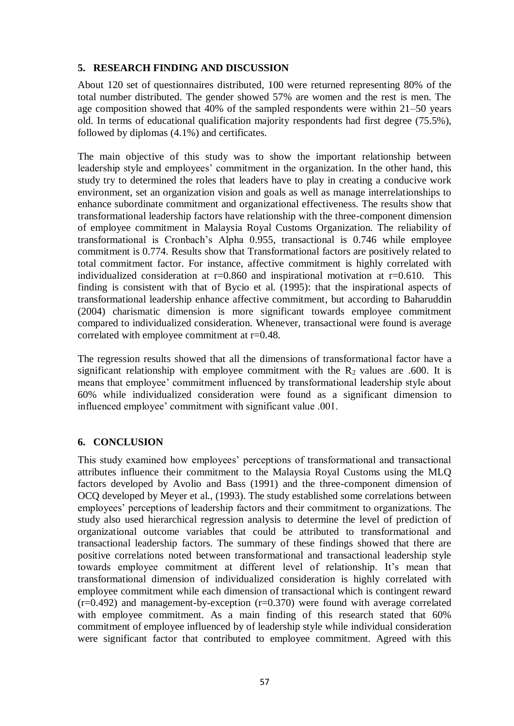#### **5. RESEARCH FINDING AND DISCUSSION**

About 120 set of questionnaires distributed, 100 were returned representing 80% of the total number distributed. The gender showed 57% are women and the rest is men. The age composition showed that 40% of the sampled respondents were within 21–50 years old. In terms of educational qualification majority respondents had first degree (75.5%), followed by diplomas (4.1%) and certificates.

The main objective of this study was to show the important relationship between leadership style and employees' commitment in the organization. In the other hand, this study try to determined the roles that leaders have to play in creating a conducive work environment, set an organization vision and goals as well as manage interrelationships to enhance subordinate commitment and organizational effectiveness. The results show that transformational leadership factors have relationship with the three-component dimension of employee commitment in Malaysia Royal Customs Organization. The reliability of transformational is Cronbach's Alpha 0.955, transactional is 0.746 while employee commitment is 0.774. Results show that Transformational factors are positively related to total commitment factor. For instance, affective commitment is highly correlated with individualized consideration at  $r=0.860$  and inspirational motivation at  $r=0.610$ . This finding is consistent with that of Bycio et al. (1995): that the inspirational aspects of transformational leadership enhance affective commitment, but according to Baharuddin (2004) charismatic dimension is more significant towards employee commitment compared to individualized consideration. Whenever, transactional were found is average correlated with employee commitment at r=0.48.

The regression results showed that all the dimensions of transformational factor have a significant relationship with employee commitment with the  $R_2$  values are .600. It is means that employee' commitment influenced by transformational leadership style about 60% while individualized consideration were found as a significant dimension to influenced employee' commitment with significant value .001.

#### **6. CONCLUSION**

This study examined how employees' perceptions of transformational and transactional attributes influence their commitment to the Malaysia Royal Customs using the MLQ factors developed by Avolio and Bass (1991) and the three-component dimension of OCQ developed by Meyer et al., (1993). The study established some correlations between employees' perceptions of leadership factors and their commitment to organizations. The study also used hierarchical regression analysis to determine the level of prediction of organizational outcome variables that could be attributed to transformational and transactional leadership factors. The summary of these findings showed that there are positive correlations noted between transformational and transactional leadership style towards employee commitment at different level of relationship. It's mean that transformational dimension of individualized consideration is highly correlated with employee commitment while each dimension of transactional which is contingent reward  $(r=0.492)$  and management-by-exception  $(r=0.370)$  were found with average correlated with employee commitment. As a main finding of this research stated that 60% commitment of employee influenced by of leadership style while individual consideration were significant factor that contributed to employee commitment. Agreed with this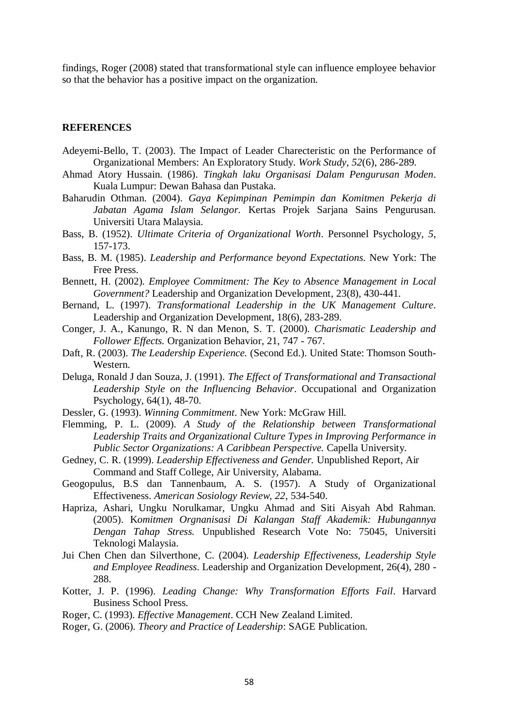findings, Roger (2008) stated that transformational style can influence employee behavior so that the behavior has a positive impact on the organization.

#### **REFERENCES**

- Adeyemi-Bello, T. (2003). The Impact of Leader Charecteristic on the Performance of Organizational Members: An Exploratory Study. *Work Study, 52*(6), 286-289.
- Ahmad Atory Hussain. (1986). *Tingkah laku Organisasi Dalam Pengurusan Moden*. Kuala Lumpur: Dewan Bahasa dan Pustaka.
- Baharudin Othman. (2004). *Gaya Kepimpinan Pemimpin dan Komitmen Pekerja di Jabatan Agama Islam Selangor.* Kertas Projek Sarjana Sains Pengurusan. Universiti Utara Malaysia.
- Bass, B. (1952). *Ultimate Criteria of Organizational Worth*. Personnel Psychology*, 5*, 157-173.
- Bass, B. M. (1985). *Leadership and Performance beyond Expectations.* New York: The Free Press.
- Bennett, H. (2002). *Employee Commitment: The Key to Absence Management in Local Government?* Leadership and Organization Development*,* 23(8), 430-441.
- Bernand, L. (1997). *Transformational Leadership in the UK Management Culture*. Leadership and Organization Development, 18(6), 283-289.
- Conger, J. A., Kanungo, R. N dan Menon, S. T. (2000). *Charismatic Leadership and Follower Effects.* Organization Behavior, 21, 747 - 767.
- Daft, R. (2003). *The Leadership Experience.* (Second Ed.). United State: Thomson South-Western.
- Deluga, Ronald J dan Souza, J. (1991). *The Effect of Transformational and Transactional Leadership Style on the Influencing Behavior*. Occupational and Organization Psychology, 64(1), 48-70.
- Dessler, G. (1993). *Winning Commitment*. New York: McGraw Hill.
- Flemming, P. L. (2009). *A Study of the Relationship between Transformational Leadership Traits and Organizational Culture Types in Improving Performance in Public Sector Organizations: A Caribbean Perspective.* Capella University.
- Gedney, C. R. (1999). *Leadership Effectiveness and Gender.* Unpublished Report, Air Command and Staff College, Air University, Alabama.
- Geogopulus, B.S dan Tannenbaum, A. S. (1957). A Study of Organizational Effectiveness. *American Sosiology Review, 22*, 534-540.
- Hapriza, Ashari, Ungku Norulkamar, Ungku Ahmad and Siti Aisyah Abd Rahman. (2005). K*omitmen Orgnanisasi Di Kalangan Staff Akademik: Hubungannya Dengan Tahap Stress.* Unpublished Research Vote No: 75045, Universiti Teknologi Malaysia.
- Jui Chen Chen dan Silverthone, C. (2004). *Leadership Effectiveness, Leadership Style and Employee Readiness*. Leadership and Organization Development, 26(4), 280 - 288.
- Kotter, J. P. (1996). *Leading Change: Why Transformation Efforts Fail*. Harvard Business School Press.
- Roger, C. (1993). *Effective Management*. CCH New Zealand Limited.
- Roger, G. (2006). *Theory and Practice of Leadership*: SAGE Publication.